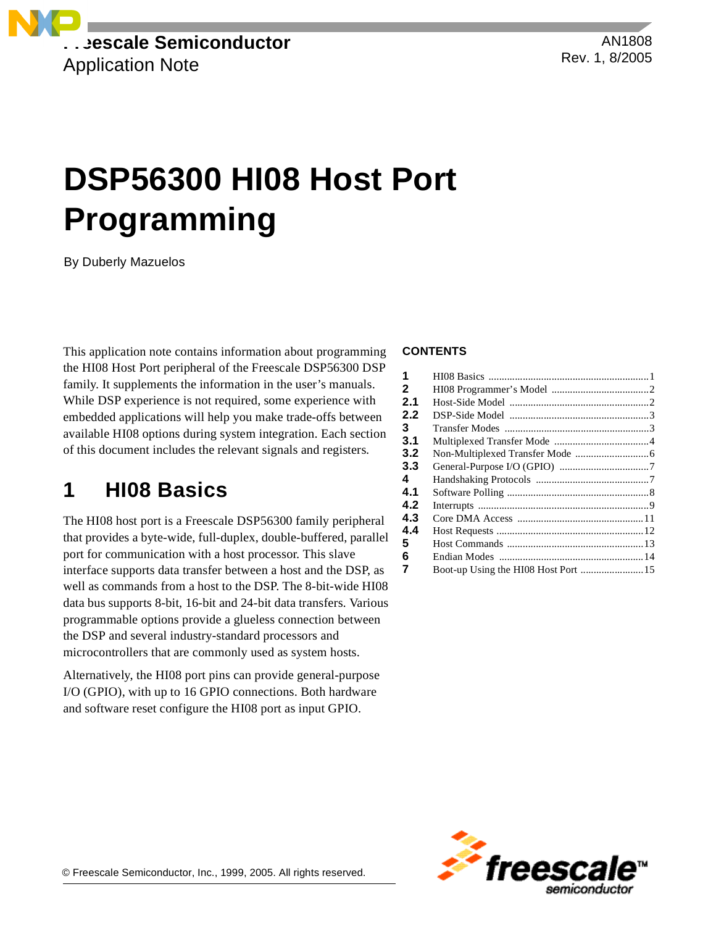

AN1808 Rev. 1, 8/2005

# **DSP56300 HI08 Host Port Programming**

By Duberly Mazuelos

This application note contains information about programming the HI08 Host Port peripheral of the Freescale DSP56300 DSP family. It supplements the information in the user's manuals. While DSP experience is not required, some experience with embedded applications will help you make trade-offs between available HI08 options during system integration. Each section of this document includes the relevant signals and registers.

# **1 HI08 Basics**

The HI08 host port is a Freescale DSP56300 family peripheral that provides a byte-wide, full-duplex, double-buffered, parallel port for communication with a host processor. This slave interface supports data transfer between a host and the DSP, as well as commands from a host to the DSP. The 8-bit-wide HI08 data bus supports 8-bit, 16-bit and 24-bit data transfers. Various programmable options provide a glueless connection between the DSP and several industry-standard processors and microcontrollers that are commonly used as system hosts.

Alternatively, the HI08 port pins can provide general-purpose I/O (GPIO), with up to 16 GPIO connections. Both hardware and software reset configure the HI08 port as input GPIO.

#### **CONTENTS**

| 1            |                                      |  |
|--------------|--------------------------------------|--|
| $\mathbf{2}$ |                                      |  |
| 2.1          |                                      |  |
| 2.2          |                                      |  |
| 3            |                                      |  |
| 3.1          |                                      |  |
| 3.2          |                                      |  |
| 3.3          |                                      |  |
| 4            |                                      |  |
| 4.1          |                                      |  |
| 4.2          |                                      |  |
| 4.3          |                                      |  |
| 4.4          |                                      |  |
| 5            |                                      |  |
| 6            |                                      |  |
| 7            | Boot-up Using the HI08 Host Port  15 |  |
|              |                                      |  |

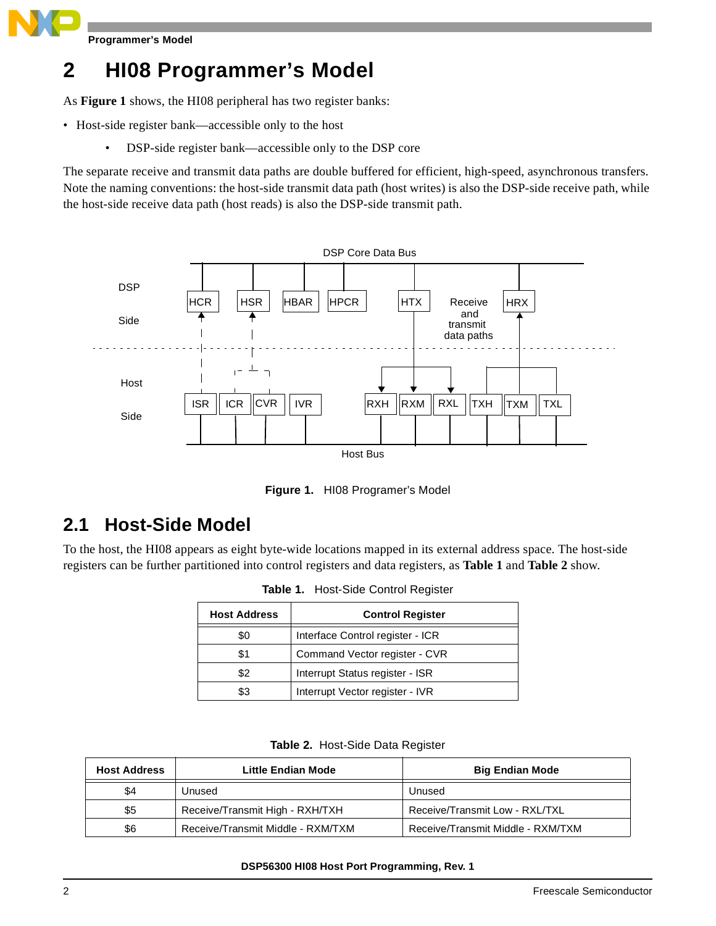**Programmer's Model** 

# **2 HI08 Programmer's Model**

As **[Figure 1](#page-1-0)** shows, the HI08 peripheral has two register banks:

- Host-side register bank—accessible only to the host
	- DSP-side register bank—accessible only to the DSP core

The separate receive and transmit data paths are double buffered for efficient, high-speed, asynchronous transfers. Note the naming conventions: the host-side transmit data path (host writes) is also the DSP-side receive path, while the host-side receive data path (host reads) is also the DSP-side transmit path.



**Figure 1.** HI08 Programer's Model

### <span id="page-1-0"></span>**2.1 Host-Side Model**

<span id="page-1-1"></span>To the host, the HI08 appears as eight byte-wide locations mapped in its external address space. The host-side registers can be further partitioned into control registers and data registers, as **[Table 1](#page-1-1)** and **[Table 2](#page-1-2)** show.

| <b>Table 1.</b> Host-Side Control Register |  |
|--------------------------------------------|--|
|                                            |  |

| <b>Host Address</b> | <b>Control Register</b>          |  |
|---------------------|----------------------------------|--|
| \$0                 | Interface Control register - ICR |  |
| \$1                 | Command Vector register - CVR    |  |
| \$2                 | Interrupt Status register - ISR  |  |
| \$3                 | Interrupt Vector register - IVR  |  |

|  | Table 2. Host-Side Data Register |  |  |
|--|----------------------------------|--|--|
|--|----------------------------------|--|--|

<span id="page-1-2"></span>

| <b>Host Address</b> | Little Endian Mode                | <b>Big Endian Mode</b>            |
|---------------------|-----------------------------------|-----------------------------------|
| \$4                 | Unused                            | Unused                            |
| \$5                 | Receive/Transmit High - RXH/TXH   | Receive/Transmit Low - RXL/TXL    |
| \$6                 | Receive/Transmit Middle - RXM/TXM | Receive/Transmit Middle - RXM/TXM |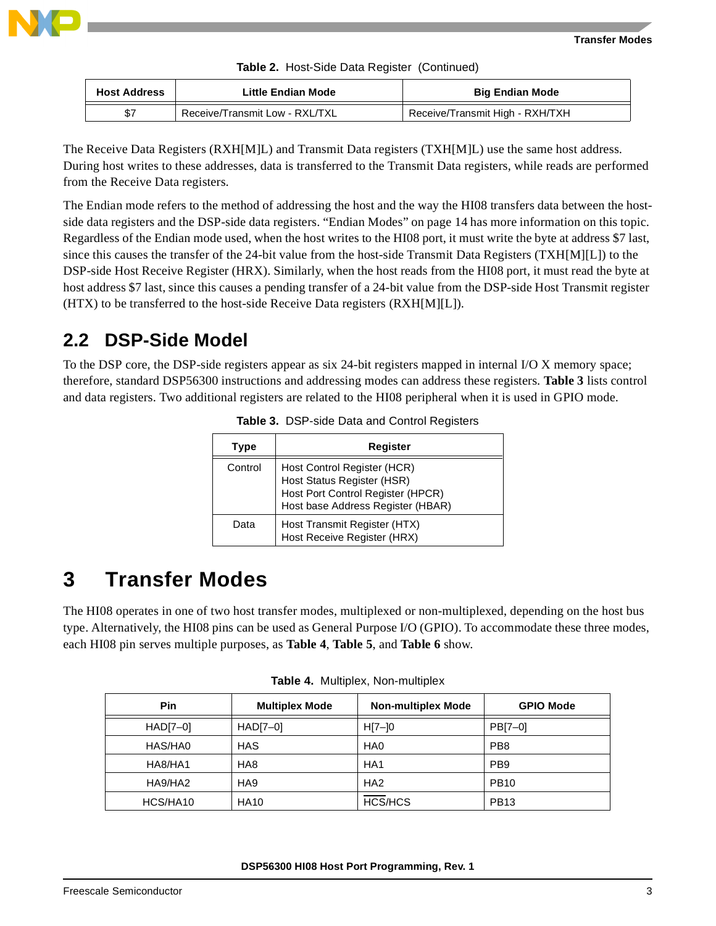

**Table 2.** Host-Side Data Register (Continued)

| <b>Host Address</b> | Little Endian Mode             | <b>Big Endian Mode</b>          |
|---------------------|--------------------------------|---------------------------------|
| \$7                 | Receive/Transmit Low - RXL/TXL | Receive/Transmit High - RXH/TXH |

The Receive Data Registers (RXH[M]L) and Transmit Data registers (TXH[M]L) use the same host address. During host writes to these addresses, data is transferred to the Transmit Data registers, while reads are performed from the Receive Data registers.

The Endian mode refers to the method of addressing the host and the way the HI08 transfers data between the hostside data registers and the DSP-side data registers. ["Endian Modes" on page](#page-13-0) 14 has more information on this topic. Regardless of the Endian mode used, when the host writes to the HI08 port, it must write the byte at address \$7 last, since this causes the transfer of the 24-bit value from the host-side Transmit Data Registers (TXH[M][L]) to the DSP-side Host Receive Register (HRX). Similarly, when the host reads from the HI08 port, it must read the byte at host address \$7 last, since this causes a pending transfer of a 24-bit value from the DSP-side Host Transmit register (HTX) to be transferred to the host-side Receive Data registers (RXH[M][L]).

### **2.2 DSP-Side Model**

<span id="page-2-0"></span>To the DSP core, the DSP-side registers appear as six 24-bit registers mapped in internal I/O X memory space; therefore, standard DSP56300 instructions and addressing modes can address these registers. **[Table 3](#page-2-0)** lists control and data registers. Two additional registers are related to the HI08 peripheral when it is used in GPIO mode.

| Type    | Register                                                                                                                            |
|---------|-------------------------------------------------------------------------------------------------------------------------------------|
| Control | Host Control Register (HCR)<br>Host Status Register (HSR)<br>Host Port Control Register (HPCR)<br>Host base Address Register (HBAR) |
| Data    | Host Transmit Register (HTX)<br>Host Receive Register (HRX)                                                                         |

| Table 3. DSP-side Data and Control Registers |  |  |
|----------------------------------------------|--|--|
|                                              |  |  |

# **3 Transfer Modes**

The HI08 operates in one of two host transfer modes, multiplexed or non-multiplexed, depending on the host bus type. Alternatively, the HI08 pins can be used as General Purpose I/O (GPIO). To accommodate these three modes, each HI08 pin serves multiple purposes, as **[Table 4](#page-2-1)**, **[Table 5](#page-3-0)**, and **[Table 6](#page-3-1)** show.

<span id="page-2-1"></span>

| Pin        | <b>Multiplex Mode</b> | <b>Non-multiplex Mode</b> | <b>GPIO Mode</b> |
|------------|-----------------------|---------------------------|------------------|
| $HAD[7-0]$ | $HAD[7-0]$            | $H[7-]0$                  | PB[7-0]          |
| HAS/HA0    | <b>HAS</b>            | HA <sub>0</sub>           | PB <sub>8</sub>  |
| HA8/HA1    | HA <sub>8</sub>       | HA <sub>1</sub>           | PB <sub>9</sub>  |
| HA9/HA2    | HA <sub>9</sub>       | HA <sub>2</sub>           | <b>PB10</b>      |
| HCS/HA10   | <b>HA10</b>           | <b>HCS/HCS</b>            | <b>PB13</b>      |

**Table 4.** Multiplex, Non-multiplex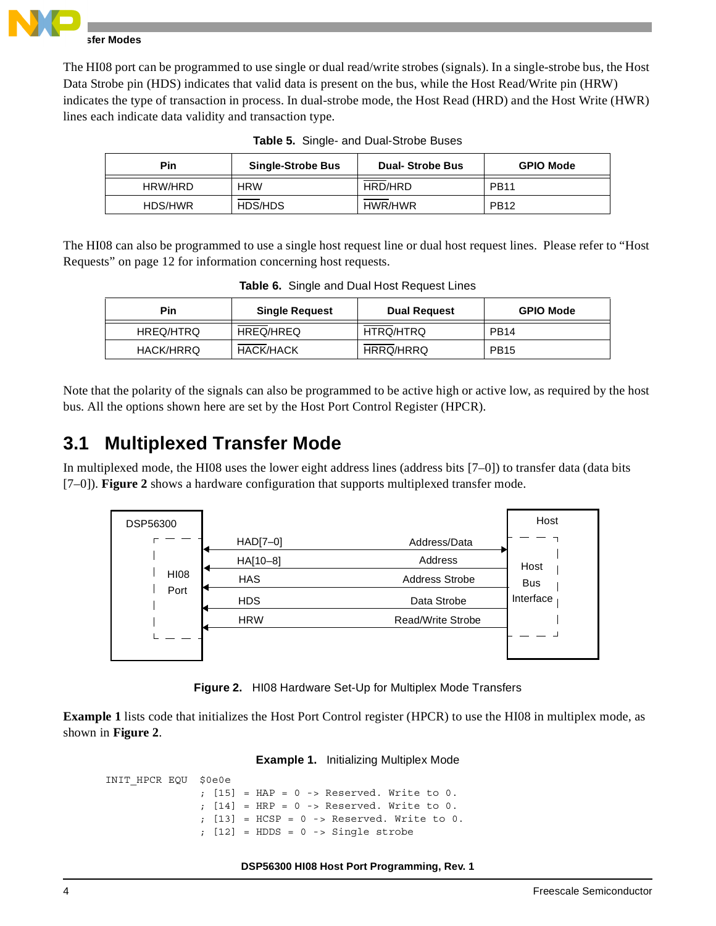

### **Transfer Modes**

The HI08 port can be programmed to use single or dual read/write strobes (signals). In a single-strobe bus, the Host Data Strobe pin (HDS) indicates that valid data is present on the bus, while the Host Read/Write pin (HRW) indicates the type of transaction in process. In dual-strobe mode, the Host Read (HRD) and the Host Write (HWR) lines each indicate data validity and transaction type.

<span id="page-3-0"></span>

| Pin     | <b>Single-Strobe Bus</b> | <b>Dual-Strobe Bus</b> | <b>GPIO Mode</b> |
|---------|--------------------------|------------------------|------------------|
| HRW/HRD | <b>HRW</b>               | HRD/HRD                | <b>PB11</b>      |
| HDS/HWR | HDS/HDS                  | HWR/HWR                | <b>PB12</b>      |

**Table 5.** Single- and Dual-Strobe Buses

<span id="page-3-1"></span>The HI08 can also be programmed to use a single host request line or dual host request lines. Please refer to ["Host](#page-11-0)  [Requests" on page](#page-11-0) 12 for information concerning host requests.

| Pin              | <b>Single Request</b> | <b>Dual Request</b> | <b>GPIO Mode</b> |
|------------------|-----------------------|---------------------|------------------|
| HREQ/HTRQ        | HREQ/HREQ             | HTRQ/HTRQ           | PB <sub>14</sub> |
| <b>HACK/HRRQ</b> | <b>HACK/HACK</b>      | HRRQ/HRRQ           | <b>PB15</b>      |

**Table 6.** Single and Dual Host Request Lines

Note that the polarity of the signals can also be programmed to be active high or active low, as required by the host bus. All the options shown here are set by the Host Port Control Register (HPCR).

### **3.1 Multiplexed Transfer Mode**

In multiplexed mode, the HI08 uses the lower eight address lines (address bits [7–0]) to transfer data (data bits [7–0]). **[Figure 2](#page-3-2)** shows a hardware configuration that supports multiplexed transfer mode.



**Figure 2.** HI08 Hardware Set-Up for Multiplex Mode Transfers

<span id="page-3-3"></span><span id="page-3-2"></span>**[Example 1](#page-3-3)** lists code that initializes the Host Port Control register (HPCR) to use the HI08 in multiplex mode, as shown in **[Figure 2](#page-3-2)**.

#### **Example 1.** Initializing Multiplex Mode

```
INIT_HPCR EQU $0e0e
                ; [15] = HAP = 0 \rightarrow Reserved. Write to 0.
                ; [14] = HRP = 0 -> Reserved. Write to 0.
                ; [13] = HCSP = 0 -> Reserved. Write to 0.
                ; [12] = HDDS = 0 -> Single strobe
```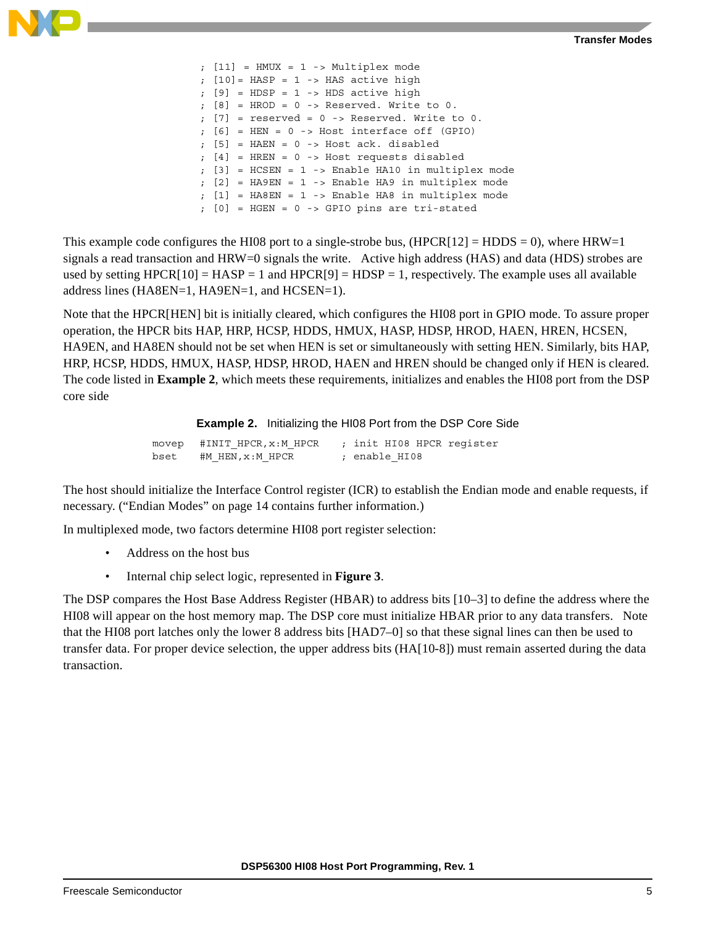

|  | $;$ [11] = HMUX = 1 -> Multiplex mode                                                       |
|--|---------------------------------------------------------------------------------------------|
|  | ; $[10] = HASP = 1 -> HAS active high$                                                      |
|  | $: [9] = HDSP = 1 -> HDS$ active high                                                       |
|  | $\left[\begin{array}{ccccc} 8 \end{array}\right]$ = HROD = 0 -> Reserved. Write to 0.       |
|  | $\mathfrak{c}$ [7] = reserved = 0 -> Reserved. Write to 0.                                  |
|  | $\,$ ; [6] = HEN = 0 -> Host interface off (GPIO)                                           |
|  | $\left[\begin{array}{ccccc}5\end{array}\right]$ = HAEN = 0 -> Host ack. disabled            |
|  | $; [4]$ = HREN = 0 -> Host requests disabled                                                |
|  | ; [3] = HCSEN = 1 -> Enable HA10 in multiplex mode                                          |
|  | $\left[\begin{array}{c c} 2 \end{array}\right]$ = HA9EN = 1 -> Enable HA9 in multiplex mode |
|  | $\left[1\right]$ = HA8EN = 1 -> Enable HA8 in multiplex mode                                |
|  | $\left[0\right]$ = HGEN = 0 -> GPIO pins are tri-stated                                     |

This example code configures the HI08 port to a single-strobe bus,  $(HPCR[12] = HDDS = 0)$ , where  $HRW=1$ signals a read transaction and HRW=0 signals the write. Active high address (HAS) and data (HDS) strobes are used by setting  $HPCR[10] = HASP = 1$  and  $HPCR[9] = HDSP = 1$ , respectively. The example uses all available address lines (HA8EN=1, HA9EN=1, and HCSEN=1).

Note that the HPCR[HEN] bit is initially cleared, which configures the HI08 port in GPIO mode. To assure proper operation, the HPCR bits HAP, HRP, HCSP, HDDS, HMUX, HASP, HDSP, HROD, HAEN, HREN, HCSEN, HA9EN, and HA8EN should not be set when HEN is set or simultaneously with setting HEN. Similarly, bits HAP, HRP, HCSP, HDDS, HMUX, HASP, HDSP, HROD, HAEN and HREN should be changed only if HEN is cleared. The code listed in **[Example 2](#page-4-0)**, which meets these requirements, initializes and enables the HI08 port from the DSP core side

**Example 2.** Initializing the HI08 Port from the DSP Core Side

|      | movep #INIT HPCR,x:M HPCR | ; init HI08 HPCR register |
|------|---------------------------|---------------------------|
| bset | #M HEN,x:M HPCR           | : enable HI08             |

<span id="page-4-0"></span>The host should initialize the Interface Control register (ICR) to establish the Endian mode and enable requests, if necessary. [\("Endian Modes" on page](#page-13-0) 14 contains further information.)

In multiplexed mode, two factors determine HI08 port register selection:

- Address on the host bus
- Internal chip select logic, represented in **[Figure 3](#page-5-0)**.

The DSP compares the Host Base Address Register (HBAR) to address bits [10–3] to define the address where the HI08 will appear on the host memory map. The DSP core must initialize HBAR prior to any data transfers. Note that the HI08 port latches only the lower 8 address bits [HAD7–0] so that these signal lines can then be used to transfer data. For proper device selection, the upper address bits (HA[10-8]) must remain asserted during the data transaction.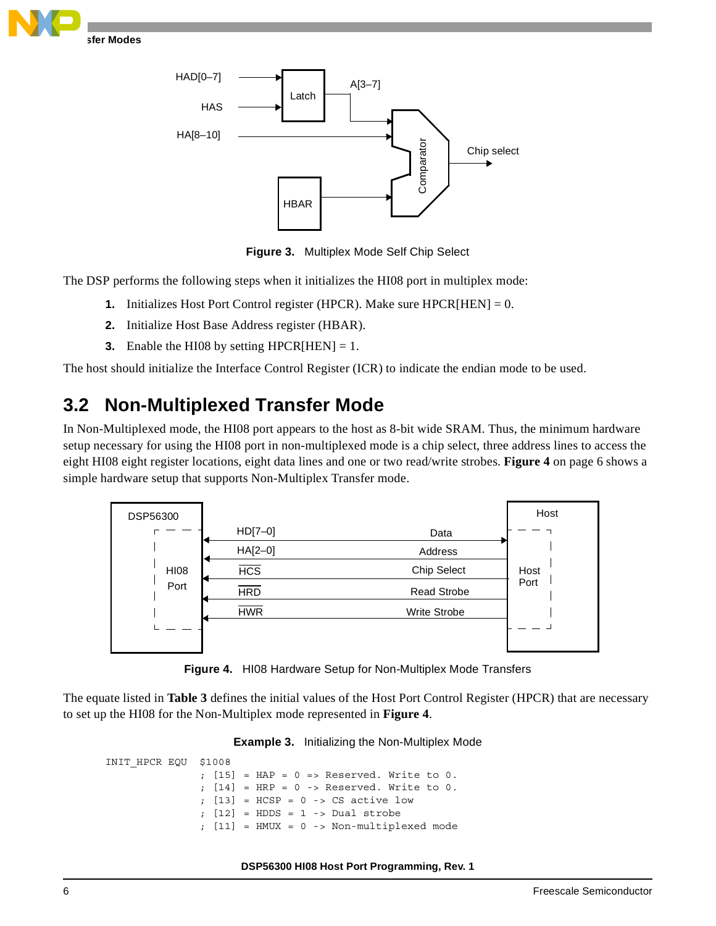



**Figure 3.** Multiplex Mode Self Chip Select

<span id="page-5-0"></span>The DSP performs the following steps when it initializes the HI08 port in multiplex mode:

- **1.** Initializes Host Port Control register (HPCR). Make sure HPCR[HEN] =  $0$ .
- **2.** Initialize Host Base Address register (HBAR).
- **3.** Enable the HI08 by setting HPCR $[HER] = 1$ .

The host should initialize the Interface Control Register (ICR) to indicate the endian mode to be used.

### **3.2 Non-Multiplexed Transfer Mode**

In Non-Multiplexed mode, the HI08 port appears to the host as 8-bit wide SRAM. Thus, the minimum hardware setup necessary for using the HI08 port in non-multiplexed mode is a chip select, three address lines to access the eight HI08 eight register locations, eight data lines and one or two read/write strobes. **Figure 4** [on page 6](#page-5-1) shows a simple hardware setup that supports Non-Multiplex Transfer mode.



**Figure 4.** HI08 Hardware Setup for Non-Multiplex Mode Transfers

<span id="page-5-2"></span><span id="page-5-1"></span>The equate listed in **[Table 3](#page-5-2)** defines the initial values of the Host Port Control Register (HPCR) that are necessary to set up the HI08 for the Non-Multiplex mode represented in **[Figure 4](#page-5-1)**.

#### **Example 3.** Initializing the Non-Multiplex Mode

```
INIT_HPCR EQU $1008
               ; [15] = HAP = 0 => Reserved. Write to 0.
               ; [14] = HRP = 0 -> Reserved. Write to 0.
               ; [13] = HCSP = 0 -> CS active low
                 [12] = HDDS = 1 -> Dual strobe
                 [11] = HMUX = 0 -> Non-multiplexed mode
```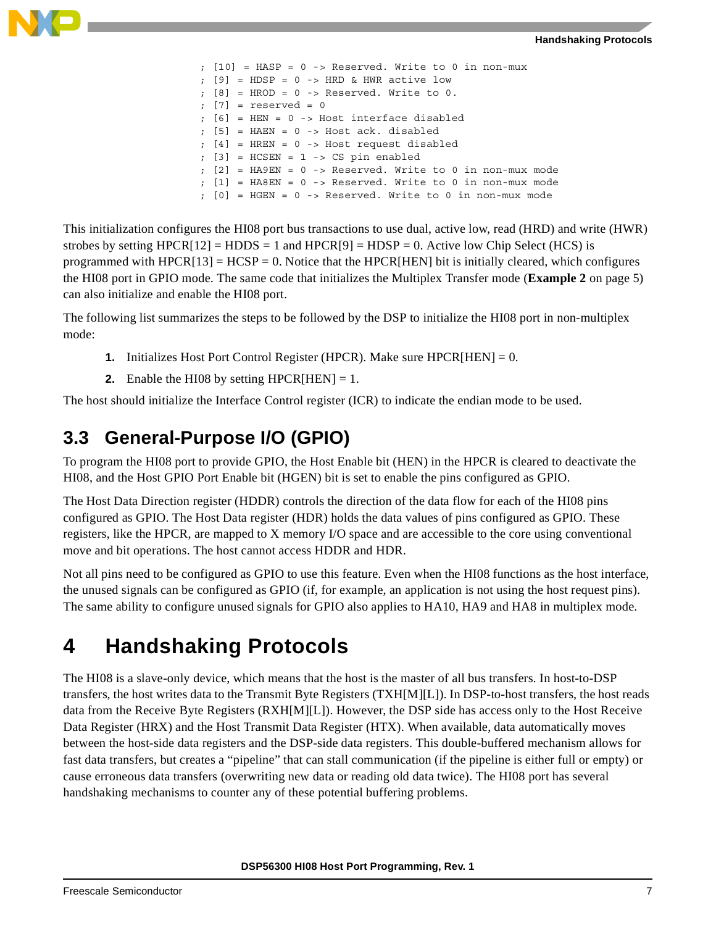

```
; [10] = HASP = 0 -> Reserved. Write to 0 in non-mux
; [9] = HDSP = 0 \rightarrow HRD & HWR active low
; [8] = HROD = 0 -> Reserved. Write to 0.
: [7] = reserved = 0
; [6] = HEN = 0 -> Host interface disabled
; [5] = HAEN = 0 -> Host ack. disabled
; [4] = HREN = 0 -> Host request disabled
; [3] = HCSEN = 1 -> CS pin enabled
; [2] = HA9EN = 0 -> Reserved. Write to 0 in non-mux mode
; [1] = HA8EN = 0 -> Reserved. Write to 0 in non-mux mode
; [0] = HGEN = 0 -> Reserved. Write to 0 in non-mux mode
```
This initialization configures the HI08 port bus transactions to use dual, active low, read (HRD) and write (HWR) strobes by setting  $HPCR[12] = HDDS = 1$  and  $HPCR[9] = HDSP = 0$ . Active low Chip Select (HCS) is programmed with  $HPCR[13] = HCSP = 0$ . Notice that the HPCR[HEN] bit is initially cleared, which configures the HI08 port in GPIO mode. The same code that initializes the Multiplex Transfer mode (**[Example 2](#page-4-0)** on page 5) can also initialize and enable the HI08 port.

The following list summarizes the steps to be followed by the DSP to initialize the HI08 port in non-multiplex mode:

- **1.** Initializes Host Port Control Register (HPCR). Make sure HPCR[HEN] = 0.
- **2.** Enable the HI08 by setting HPCR $[HER] = 1$ .

The host should initialize the Interface Control register (ICR) to indicate the endian mode to be used.

### **3.3 General-Purpose I/O (GPIO)**

To program the HI08 port to provide GPIO, the Host Enable bit (HEN) in the HPCR is cleared to deactivate the HI08, and the Host GPIO Port Enable bit (HGEN) bit is set to enable the pins configured as GPIO.

The Host Data Direction register (HDDR) controls the direction of the data flow for each of the HI08 pins configured as GPIO. The Host Data register (HDR) holds the data values of pins configured as GPIO. These registers, like the HPCR, are mapped to X memory I/O space and are accessible to the core using conventional move and bit operations. The host cannot access HDDR and HDR.

Not all pins need to be configured as GPIO to use this feature. Even when the HI08 functions as the host interface, the unused signals can be configured as GPIO (if, for example, an application is not using the host request pins). The same ability to configure unused signals for GPIO also applies to HA10, HA9 and HA8 in multiplex mode.

# **4 Handshaking Protocols**

The HI08 is a slave-only device, which means that the host is the master of all bus transfers. In host-to-DSP transfers, the host writes data to the Transmit Byte Registers (TXH[M][L]). In DSP-to-host transfers, the host reads data from the Receive Byte Registers (RXH[M][L]). However, the DSP side has access only to the Host Receive Data Register (HRX) and the Host Transmit Data Register (HTX). When available, data automatically moves between the host-side data registers and the DSP-side data registers. This double-buffered mechanism allows for fast data transfers, but creates a "pipeline" that can stall communication (if the pipeline is either full or empty) or cause erroneous data transfers (overwriting new data or reading old data twice). The HI08 port has several handshaking mechanisms to counter any of these potential buffering problems.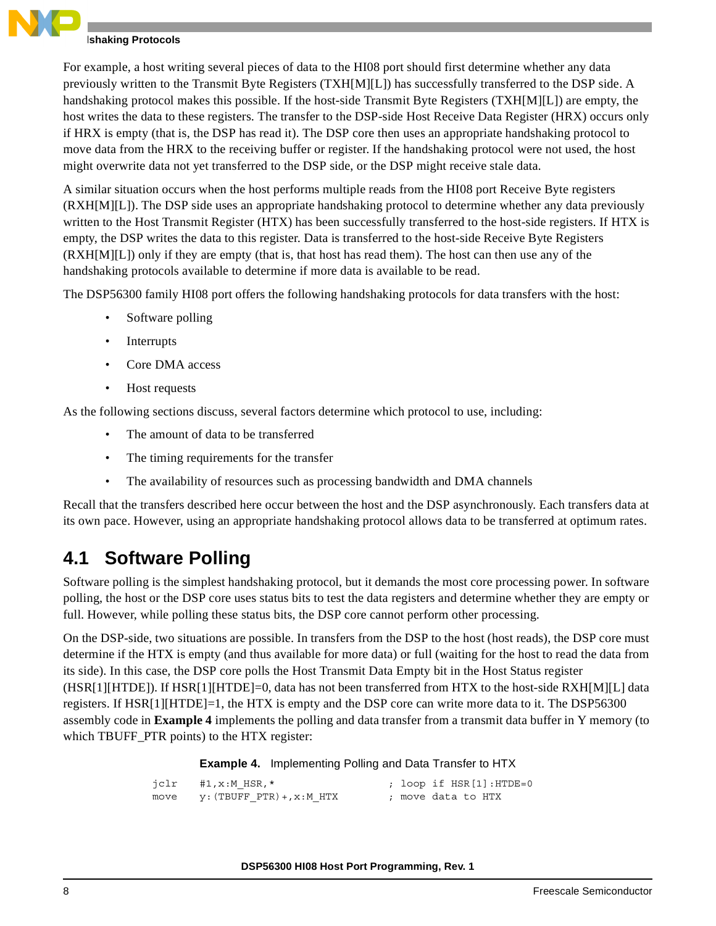### **Ishaking Protocols**

For example, a host writing several pieces of data to the HI08 port should first determine whether any data previously written to the Transmit Byte Registers (TXH[M][L]) has successfully transferred to the DSP side. A handshaking protocol makes this possible. If the host-side Transmit Byte Registers (TXH[M][L]) are empty, the host writes the data to these registers. The transfer to the DSP-side Host Receive Data Register (HRX) occurs only if HRX is empty (that is, the DSP has read it). The DSP core then uses an appropriate handshaking protocol to move data from the HRX to the receiving buffer or register. If the handshaking protocol were not used, the host might overwrite data not yet transferred to the DSP side, or the DSP might receive stale data.

A similar situation occurs when the host performs multiple reads from the HI08 port Receive Byte registers (RXH[M][L]). The DSP side uses an appropriate handshaking protocol to determine whether any data previously written to the Host Transmit Register (HTX) has been successfully transferred to the host-side registers. If HTX is empty, the DSP writes the data to this register. Data is transferred to the host-side Receive Byte Registers (RXH[M][L]) only if they are empty (that is, that host has read them). The host can then use any of the handshaking protocols available to determine if more data is available to be read.

The DSP56300 family HI08 port offers the following handshaking protocols for data transfers with the host:

- Software polling
- Interrupts
- Core DMA access
- Host requests

As the following sections discuss, several factors determine which protocol to use, including:

- The amount of data to be transferred
- The timing requirements for the transfer
- The availability of resources such as processing bandwidth and DMA channels

Recall that the transfers described here occur between the host and the DSP asynchronously. Each transfers data at its own pace. However, using an appropriate handshaking protocol allows data to be transferred at optimum rates.

### **4.1 Software Polling**

Software polling is the simplest handshaking protocol, but it demands the most core processing power. In software polling, the host or the DSP core uses status bits to test the data registers and determine whether they are empty or full. However, while polling these status bits, the DSP core cannot perform other processing.

On the DSP-side, two situations are possible. In transfers from the DSP to the host (host reads), the DSP core must determine if the HTX is empty (and thus available for more data) or full (waiting for the host to read the data from its side). In this case, the DSP core polls the Host Transmit Data Empty bit in the Host Status register (HSR[1][HTDE]). If HSR[1][HTDE]=0, data has not been transferred from HTX to the host-side RXH[M][L] data registers. If HSR[1][HTDE]=1, the HTX is empty and the DSP core can write more data to it. The DSP56300 assembly code in **[Example 4](#page-7-0)** implements the polling and data transfer from a transmit data buffer in Y memory (to which TBUFF\_PTR points) to the HTX register:

**Example 4.** Implementing Polling and Data Transfer to HTX

```
jclr #1, x:M HSR, * ; loop if HSR[1]:HTDE=0
move y: (TBUFF PTR) +, x: M HTX ; move data to HTX
```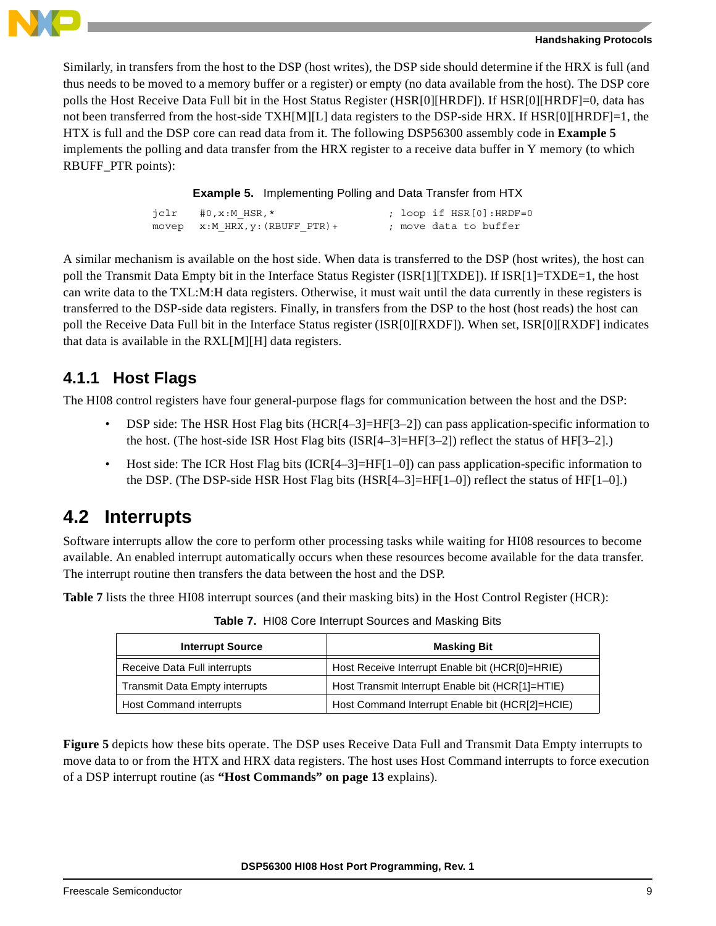

Similarly, in transfers from the host to the DSP (host writes), the DSP side should determine if the HRX is full (and thus needs to be moved to a memory buffer or a register) or empty (no data available from the host). The DSP core polls the Host Receive Data Full bit in the Host Status Register (HSR[0][HRDF]). If HSR[0][HRDF]=0, data has not been transferred from the host-side TXH[M][L] data registers to the DSP-side HRX. If HSR[0][HRDF]=1, the HTX is full and the DSP core can read data from it. The following DSP56300 assembly code in **[Example 5](#page-8-0)** implements the polling and data transfer from the HRX register to a receive data buffer in Y memory (to which RBUFF\_PTR points):

**Example 5.** Implementing Polling and Data Transfer from HTX

| $iclr$ #0, x: M HSR, *          |  | ; loop if HSR[0]:HRDF=0 |
|---------------------------------|--|-------------------------|
| movep x:M HRX, y: (RBUFF PTR) + |  | ; move data to buffer   |

<span id="page-8-0"></span>A similar mechanism is available on the host side. When data is transferred to the DSP (host writes), the host can poll the Transmit Data Empty bit in the Interface Status Register (ISR[1][TXDE]). If ISR[1]=TXDE=1, the host can write data to the TXL:M:H data registers. Otherwise, it must wait until the data currently in these registers is transferred to the DSP-side data registers. Finally, in transfers from the DSP to the host (host reads) the host can poll the Receive Data Full bit in the Interface Status register (ISR[0][RXDF]). When set, ISR[0][RXDF] indicates that data is available in the RXL[M][H] data registers.

### **4.1.1 Host Flags**

The HI08 control registers have four general-purpose flags for communication between the host and the DSP:

- DSP side: The HSR Host Flag bits (HCR[4–3]=HF[3–2]) can pass application-specific information to the host. (The host-side ISR Host Flag bits  $(ISR[4-3]=HF[3-2])$  reflect the status of  $HF[3-2]$ .)
- Host side: The ICR Host Flag bits (ICR $[4-3] = HF[1-0]$ ) can pass application-specific information to the DSP. (The DSP-side HSR Host Flag bits (HSR[4–3]=HF[1–0]) reflect the status of HF[1–0].)

### <span id="page-8-2"></span>**4.2 Interrupts**

Software interrupts allow the core to perform other processing tasks while waiting for HI08 resources to become available. An enabled interrupt automatically occurs when these resources become available for the data transfer. The interrupt routine then transfers the data between the host and the DSP.

<span id="page-8-1"></span>**[Table 7](#page-8-1)** lists the three HI08 interrupt sources (and their masking bits) in the Host Control Register (HCR):

| <b>Interrupt Source</b>               | <b>Masking Bit</b>                               |  |
|---------------------------------------|--------------------------------------------------|--|
| Receive Data Full interrupts          | Host Receive Interrupt Enable bit (HCR[0]=HRIE)  |  |
| <b>Transmit Data Empty interrupts</b> | Host Transmit Interrupt Enable bit (HCR[1]=HTIE) |  |
| <b>Host Command interrupts</b>        | Host Command Interrupt Enable bit (HCR[2]=HCIE)  |  |

**Table 7.** HI08 Core Interrupt Sources and Masking Bits

**[Figure 5](#page-9-0)** depicts how these bits operate. The DSP uses Receive Data Full and Transmit Data Empty interrupts to move data to or from the HTX and HRX data registers. The host uses Host Command interrupts to force execution of a DSP interrupt routine (as **["Host Commands" on page](#page-12-0) 13** explains).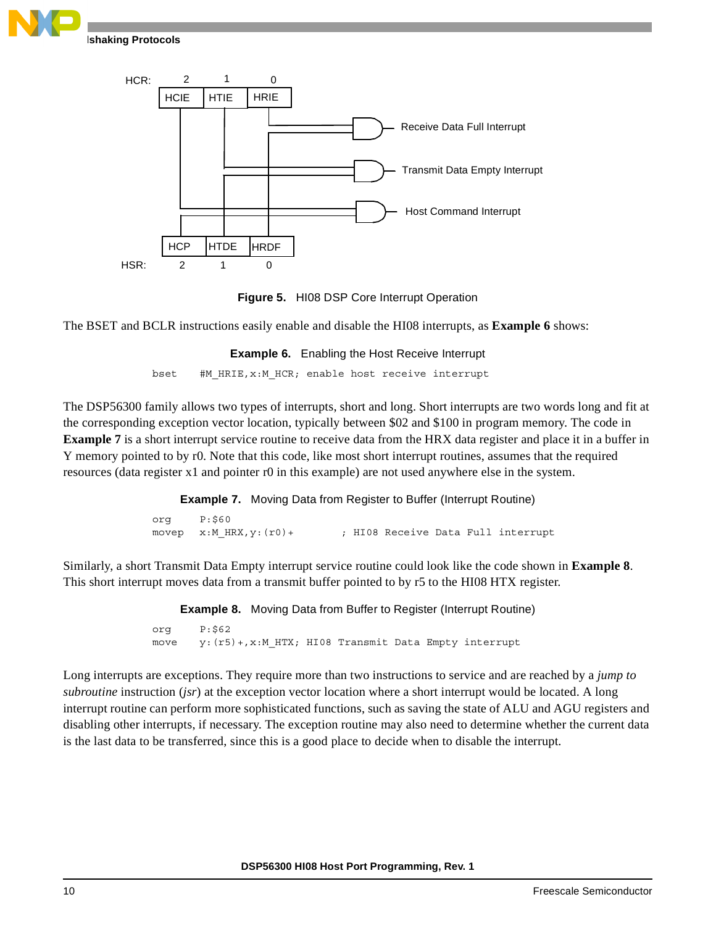





<span id="page-9-1"></span><span id="page-9-0"></span>The BSET and BCLR instructions easily enable and disable the HI08 interrupts, as **[Example 6](#page-9-1)** shows:

**Example 6.** Enabling the Host Receive Interrupt

bset #M\_HRIE,x:M\_HCR; enable host receive interrupt

The DSP56300 family allows two types of interrupts, short and long. Short interrupts are two words long and fit at the corresponding exception vector location, typically between \$02 and \$100 in program memory. The code in **[Example 7](#page-9-2)** is a short interrupt service routine to receive data from the HRX data register and place it in a buffer in Y memory pointed to by r0. Note that this code, like most short interrupt routines, assumes that the required resources (data register x1 and pointer r0 in this example) are not used anywhere else in the system.

**Example 7.** Moving Data from Register to Buffer (Interrupt Routine)

org P:\$60 movep x:M\_HRX, y: (r0) + ; HI08 Receive Data Full interrupt

<span id="page-9-3"></span><span id="page-9-2"></span>Similarly, a short Transmit Data Empty interrupt service routine could look like the code shown in **[Example 8](#page-9-3)**. This short interrupt moves data from a transmit buffer pointed to by r5 to the HI08 HTX register.

> **Example 8.** Moving Data from Buffer to Register (Interrupt Routine) org P:\$62

move y: (r5) +, x: MHTX; HI08 Transmit Data Empty interrupt

Long interrupts are exceptions. They require more than two instructions to service and are reached by a *jump to subroutine* instruction (*jsr*) at the exception vector location where a short interrupt would be located. A long interrupt routine can perform more sophisticated functions, such as saving the state of ALU and AGU registers and disabling other interrupts, if necessary. The exception routine may also need to determine whether the current data is the last data to be transferred, since this is a good place to decide when to disable the interrupt.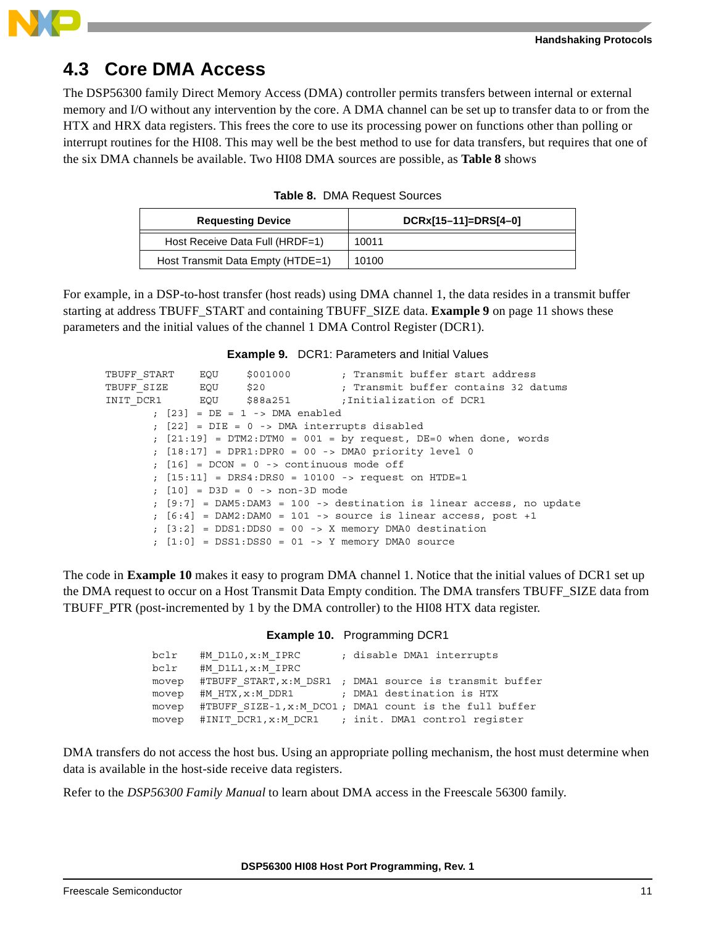

### **4.3 Core DMA Access**

The DSP56300 family Direct Memory Access (DMA) controller permits transfers between internal or external memory and I/O without any intervention by the core. A DMA channel can be set up to transfer data to or from the HTX and HRX data registers. This frees the core to use its processing power on functions other than polling or interrupt routines for the HI08. This may well be the best method to use for data transfers, but requires that one of the six DMA channels be available. Two HI08 DMA sources are possible, as **[Table 8](#page-10-0)** shows

<span id="page-10-0"></span>

| <b>Requesting Device</b>          | DCRx[15-11]=DRS[4-0] |
|-----------------------------------|----------------------|
| Host Receive Data Full (HRDF=1)   | 10011                |
| Host Transmit Data Empty (HTDE=1) | 10100                |

For example, in a DSP-to-host transfer (host reads) using DMA channel 1, the data resides in a transmit buffer starting at address TBUFF\_START and containing TBUFF\_SIZE data. **Example 9** [on page 11](#page-10-1) shows these parameters and the initial values of the channel 1 DMA Control Register (DCR1).

<span id="page-10-1"></span>

|                          |                                    | <b>Example 9.</b> DCR1: Parameters and Initial Values                              |
|--------------------------|------------------------------------|------------------------------------------------------------------------------------|
| TBUFF START EQU \$001000 |                                    | ; Transmit buffer start address                                                    |
|                          |                                    | ; Transmit buffer contains 32 datums                                               |
|                          |                                    | INIT DCR1 EQU \$88a251 501 ; Initialization of DCR1                                |
|                          | $:$ $[23]$ = DE = 1 -> DMA enabled |                                                                                    |
|                          |                                    | $: [22] = DIE = 0$ -> DMA interrupts disabled                                      |
|                          |                                    | ; $[21:19]$ = DTM2:DTM0 = 001 = by request, DE=0 when done, words                  |
|                          |                                    | ; $[18:17]$ = DPR1:DPR0 = 00 -> DMA0 priority level 0                              |
|                          |                                    | $: [16] = DCON = 0 \rightarrow$ continuous mode off                                |
|                          |                                    | ; $[15:11]$ = DRS4:DRS0 = 10100 -> request on HTDE=1                               |
|                          | $: [10] = D3D = 0$ -> non-3D mode  |                                                                                    |
|                          |                                    | $\left[\right.$ [9:7] = DAM5:DAM3 = 100 -> destination is linear access, no update |
|                          |                                    | $\left[\right.$ [6:4] = DAM2:DAM0 = 101 -> source is linear access, post +1        |
|                          |                                    | $\texttt{[3:2]}$ = DDS1:DDS0 = 00 -> X memory DMA0 destination                     |
|                          |                                    | $\lceil 1:0 \rceil$ = DSS1:DSS0 = 01 -> Y memory DMA0 source                       |

<span id="page-10-2"></span>The code in **[Example 10](#page-10-2)** makes it easy to program DMA channel 1. Notice that the initial values of DCR1 set up the DMA request to occur on a Host Transmit Data Empty condition. The DMA transfers TBUFF\_SIZE data from TBUFF PTR (post-incremented by 1 by the DMA controller) to the HI08 HTX data register.

| Example 10. | Programming DCR1 |  |
|-------------|------------------|--|
|             |                  |  |

| bclr  | #M D1L0, x:M IPRC  | ; disable DMA1 interrupts                                     |
|-------|--------------------|---------------------------------------------------------------|
| bclr  | #M D1L1, x: M IPRC |                                                               |
| movep |                    | #TBUFF START, x:M DSR1 ; DMA1 source is transmit buffer       |
|       |                    | movep #M HTX, x: M DDR1 : DMA1 destination is HTX             |
|       |                    | movep #TBUFF SIZE-1, x: M DCO1; DMA1 count is the full buffer |
|       |                    | movep #INIT DCR1, x:M DCR1 ; init. DMA1 control reqister      |

DMA transfers do not access the host bus. Using an appropriate polling mechanism, the host must determine when data is available in the host-side receive data registers.

Refer to the *DSP56300 Family Manual* to learn about DMA access in the Freescale 56300 family.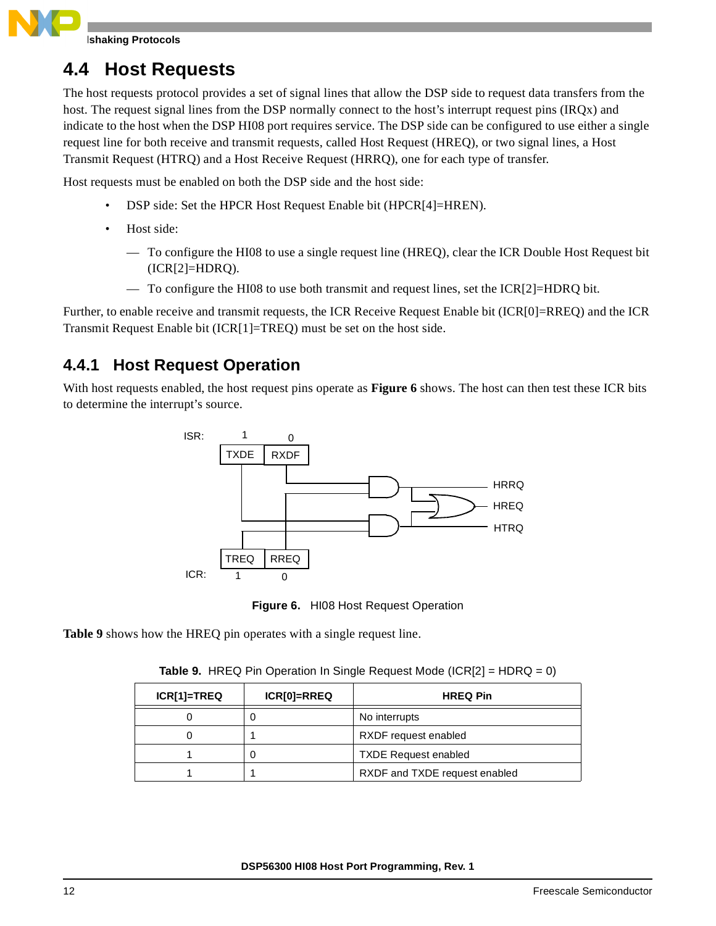**Ishaking Protocols** 

### <span id="page-11-0"></span>**4.4 Host Requests**

The host requests protocol provides a set of signal lines that allow the DSP side to request data transfers from the host. The request signal lines from the DSP normally connect to the host's interrupt request pins (IRQx) and indicate to the host when the DSP HI08 port requires service. The DSP side can be configured to use either a single request line for both receive and transmit requests, called Host Request (HREQ), or two signal lines, a Host Transmit Request (HTRQ) and a Host Receive Request (HRRQ), one for each type of transfer.

Host requests must be enabled on both the DSP side and the host side:

- DSP side: Set the HPCR Host Request Enable bit (HPCR[4]=HREN).
- Host side:
	- To configure the HI08 to use a single request line (HREQ), clear the ICR Double Host Request bit (ICR[2]=HDRQ).
	- To configure the HI08 to use both transmit and request lines, set the ICR[2]=HDRQ bit.

Further, to enable receive and transmit requests, the ICR Receive Request Enable bit (ICR[0]=RREQ) and the ICR Transmit Request Enable bit (ICR[1]=TREQ) must be set on the host side.

### **4.4.1 Host Request Operation**

With host requests enabled, the host request pins operate as **[Figure 6](#page-11-1)** shows. The host can then test these ICR bits to determine the interrupt's source.



**Figure 6.** HI08 Host Request Operation

<span id="page-11-2"></span><span id="page-11-1"></span>**[Table 9](#page-11-2)** shows how the HREQ pin operates with a single request line.

| ICR[1]=TREQ | ICR[0]=RREQ | <b>HREQ Pin</b>               |
|-------------|-------------|-------------------------------|
|             |             | No interrupts                 |
|             |             | RXDF request enabled          |
|             |             | <b>TXDE Request enabled</b>   |
|             |             | RXDF and TXDE request enabled |

**Table 9.** HREQ Pin Operation In Single Request Mode (ICR[2] = HDRQ = 0)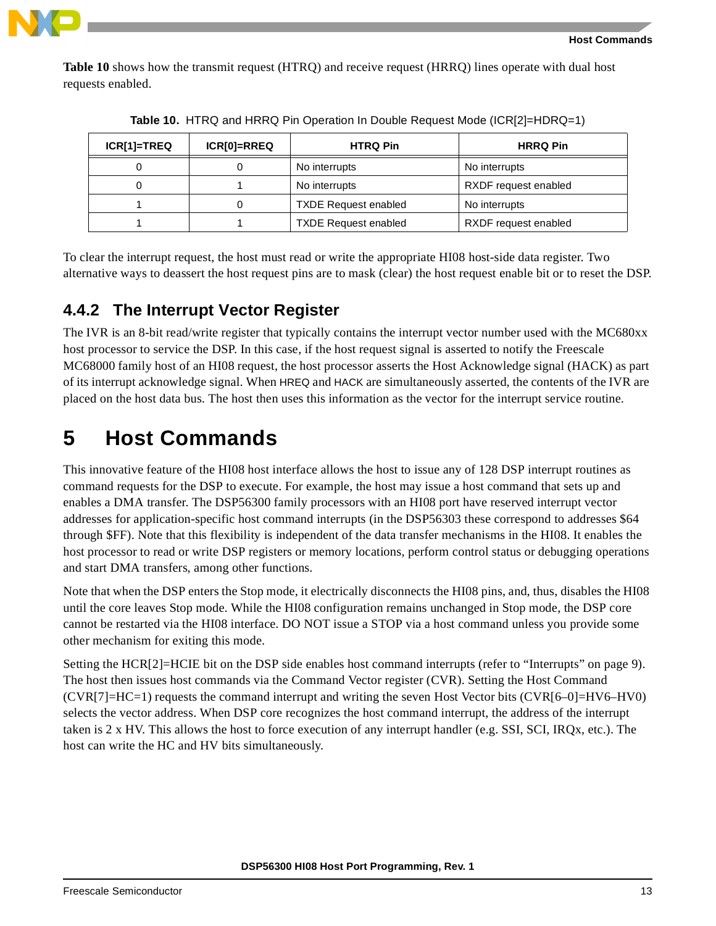

**[Table 10](#page-12-1)** shows how the transmit request (HTRQ) and receive request (HRRQ) lines operate with dual host requests enabled.

<span id="page-12-1"></span>

| ICR[1]=TREQ | ICR[0]=RREQ | <b>HTRQ Pin</b>             | <b>HRRQ Pin</b>      |
|-------------|-------------|-----------------------------|----------------------|
|             |             | No interrupts               | No interrupts        |
|             |             | No interrupts               | RXDF request enabled |
|             |             | <b>TXDE Request enabled</b> | No interrupts        |
|             |             | <b>TXDE Request enabled</b> | RXDF request enabled |

**Table 10.** HTRQ and HRRQ Pin Operation In Double Request Mode (ICR[2]=HDRQ=1)

To clear the interrupt request, the host must read or write the appropriate HI08 host-side data register. Two alternative ways to deassert the host request pins are to mask (clear) the host request enable bit or to reset the DSP.

### **4.4.2 The Interrupt Vector Register**

The IVR is an 8-bit read/write register that typically contains the interrupt vector number used with the MC680xx host processor to service the DSP. In this case, if the host request signal is asserted to notify the Freescale MC68000 family host of an HI08 request, the host processor asserts the Host Acknowledge signal (HACK) as part of its interrupt acknowledge signal. When HREQ and HACK are simultaneously asserted, the contents of the IVR are placed on the host data bus. The host then uses this information as the vector for the interrupt service routine.

# <span id="page-12-0"></span>**5 Host Commands**

This innovative feature of the HI08 host interface allows the host to issue any of 128 DSP interrupt routines as command requests for the DSP to execute. For example, the host may issue a host command that sets up and enables a DMA transfer. The DSP56300 family processors with an HI08 port have reserved interrupt vector addresses for application-specific host command interrupts (in the DSP56303 these correspond to addresses \$64 through \$FF). Note that this flexibility is independent of the data transfer mechanisms in the HI08. It enables the host processor to read or write DSP registers or memory locations, perform control status or debugging operations and start DMA transfers, among other functions.

Note that when the DSP enters the Stop mode, it electrically disconnects the HI08 pins, and, thus, disables the HI08 until the core leaves Stop mode. While the HI08 configuration remains unchanged in Stop mode, the DSP core cannot be restarted via the HI08 interface. DO NOT issue a STOP via a host command unless you provide some other mechanism for exiting this mode.

Setting the HCR[2]=HCIE bit on the DSP side enables host command interrupts (refer to ["Interrupts" on page](#page-8-2) 9). The host then issues host commands via the Command Vector register (CVR). Setting the Host Command (CVR[7]=HC=1) requests the command interrupt and writing the seven Host Vector bits (CVR[6–0]=HV6–HV0) selects the vector address. When DSP core recognizes the host command interrupt, the address of the interrupt taken is 2 x HV. This allows the host to force execution of any interrupt handler (e.g. SSI, SCI, IRQx, etc.). The host can write the HC and HV bits simultaneously.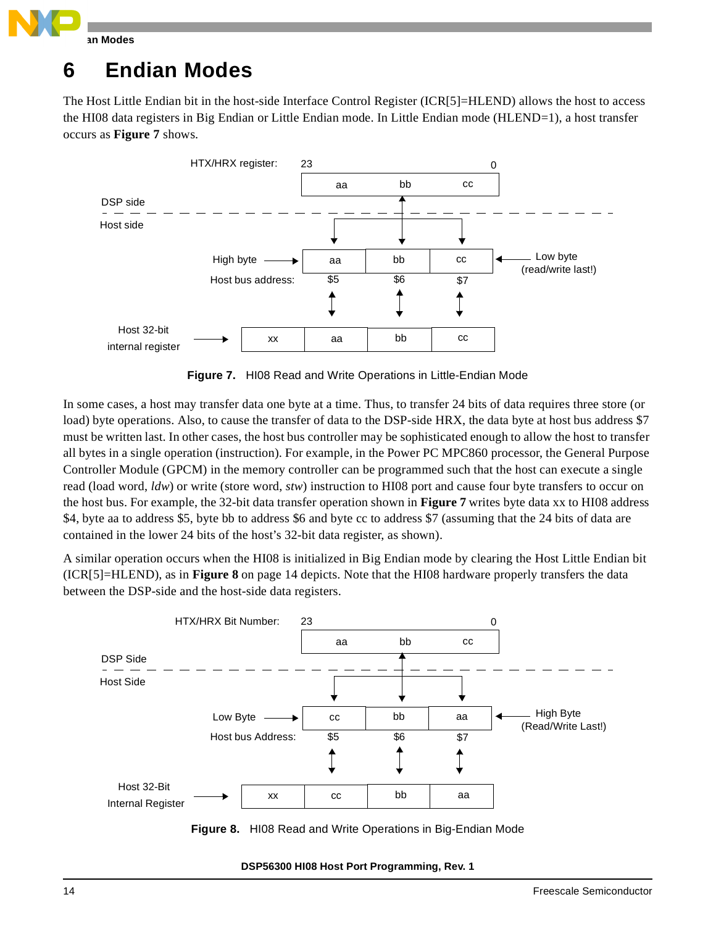

# <span id="page-13-0"></span>**6 Endian Modes**

The Host Little Endian bit in the host-side Interface Control Register (ICR[5]=HLEND) allows the host to access the HI08 data registers in Big Endian or Little Endian mode. In Little Endian mode (HLEND=1), a host transfer occurs as **[Figure 7](#page-13-1)** shows.



**Figure 7.** HI08 Read and Write Operations in Little-Endian Mode

<span id="page-13-1"></span>In some cases, a host may transfer data one byte at a time. Thus, to transfer 24 bits of data requires three store (or load) byte operations. Also, to cause the transfer of data to the DSP-side HRX, the data byte at host bus address \$7 must be written last. In other cases, the host bus controller may be sophisticated enough to allow the host to transfer all bytes in a single operation (instruction). For example, in the Power PC MPC860 processor, the General Purpose Controller Module (GPCM) in the memory controller can be programmed such that the host can execute a single read (load word, *ldw*) or write (store word, *stw*) instruction to HI08 port and cause four byte transfers to occur on the host bus. For example, the 32-bit data transfer operation shown in **[Figure 7](#page-13-1)** writes byte data xx to HI08 address \$4, byte aa to address \$5, byte bb to address \$6 and byte cc to address \$7 (assuming that the 24 bits of data are contained in the lower 24 bits of the host's 32-bit data register, as shown).

A similar operation occurs when the HI08 is initialized in Big Endian mode by clearing the Host Little Endian bit (ICR[5]=HLEND), as in **Figure 8** [on page 14](#page-13-2) depicts. Note that the HI08 hardware properly transfers the data between the DSP-side and the host-side data registers.



<span id="page-13-2"></span>**Figure 8.** HI08 Read and Write Operations in Big-Endian Mode

**DSP56300 HI08 Host Port Programming, Rev. 1**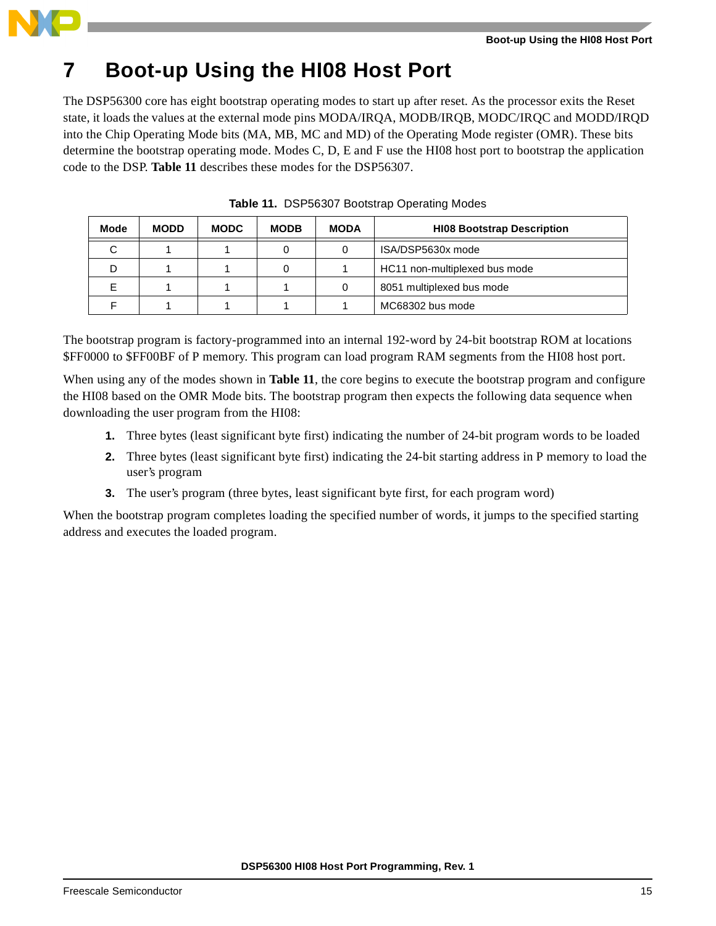

# **7 Boot-up Using the HI08 Host Port**

The DSP56300 core has eight bootstrap operating modes to start up after reset. As the processor exits the Reset state, it loads the values at the external mode pins MODA/IRQA, MODB/IRQB, MODC/IRQC and MODD/IRQD into the Chip Operating Mode bits (MA, MB, MC and MD) of the Operating Mode register (OMR). These bits determine the bootstrap operating mode. Modes C, D, E and F use the HI08 host port to bootstrap the application code to the DSP. **[Table 11](#page-14-0)** describes these modes for the DSP56307.

<span id="page-14-0"></span>

| Mode | <b>MODD</b> | <b>MODC</b> | <b>MODB</b> | <b>MODA</b> | <b>HI08 Bootstrap Description</b> |
|------|-------------|-------------|-------------|-------------|-----------------------------------|
| С    |             |             |             |             | ISA/DSP5630x mode                 |
| D    |             |             |             |             | HC11 non-multiplexed bus mode     |
| F    |             |             |             |             | 8051 multiplexed bus mode         |
|      |             |             |             |             | MC68302 bus mode                  |

**Table 11.** DSP56307 Bootstrap Operating Modes

The bootstrap program is factory-programmed into an internal 192-word by 24-bit bootstrap ROM at locations \$FF0000 to \$FF00BF of P memory. This program can load program RAM segments from the HI08 host port.

When using any of the modes shown in **[Table 11](#page-14-0)**, the core begins to execute the bootstrap program and configure the HI08 based on the OMR Mode bits. The bootstrap program then expects the following data sequence when downloading the user program from the HI08:

- **1.** Three bytes (least significant byte first) indicating the number of 24-bit program words to be loaded
- **2.** Three bytes (least significant byte first) indicating the 24-bit starting address in P memory to load the user's program
- **3.** The user's program (three bytes, least significant byte first, for each program word)

When the bootstrap program completes loading the specified number of words, it jumps to the specified starting address and executes the loaded program.